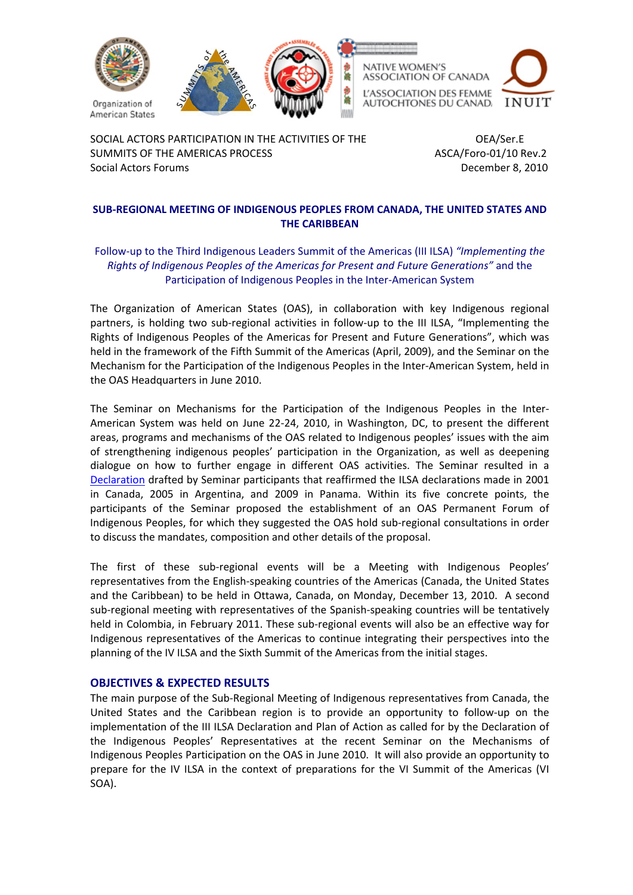

SOCIAL ACTORS PARTICIPATION IN THE ACTIVITIES OF THE OEA/Ser.E SUMMITS OF THE AMERICAS PROCESS **ASCA/Foro-01/10 Rev.2** Social Actors Forums **Contract Contract Contract Contract Contract Contract Contract Contract Contract Contract Contract Contract Contract Contract Contract Contract Contract Contract Contract Contract Contract Contract Co** 

# **SUB‐REGIONAL MEETING OF INDIGENOUS PEOPLES FROM CANADA, THE UNITED STATES AND THE CARIBBEAN**

# Follow‐up to the Third Indigenous Leaders Summit of the Americas (III ILSA) *"Implementing the Rights of Indigenous Peoples of the Americas for Present and Future Generations"* and the Participation of Indigenous Peoples in the Inter‐American System

The Organization of American States (OAS), in collaboration with key Indigenous regional partners, is holding two sub-regional activities in follow-up to the III ILSA, "Implementing the Rights of Indigenous Peoples of the Americas for Present and Future Generations", which was held in the framework of the Fifth Summit of the Americas (April, 2009), and the Seminar on the Mechanism for the Participation of the Indigenous Peoples in the Inter‐American System, held in the OAS Headquarters in June 2010.

The Seminar on Mechanisms for the Participation of the Indigenous Peoples in the Inter‐ American System was held on June 22‐24, 2010, in Washington, DC, to present the different areas, programs and mechanisms of the OAS related to Indigenous peoples' issues with the aim of strengthening indigenous peoples' participation in the Organization, as well as deepening dialogue on how to further engage in different OAS activities. The Seminar resulted in a [Declaration](http://www.summit-americas.org/cs/meetings/062210/decl_en.pdf) drafted by Seminar participants that reaffirmed the ILSA declarations made in 2001 in Canada, 2005 in Argentina, and 2009 in Panama. Within its five concrete points, the participants of the Seminar proposed the establishment of an OAS Permanent Forum of Indigenous Peoples, for which they suggested the OAS hold sub‐regional consultations in order to discuss the mandates, composition and other details of the proposal.

The first of these sub-regional events will be a Meeting with Indigenous Peoples' representatives from the English‐speaking countries of the Americas (Canada, the United States and the Caribbean) to be held in Ottawa, Canada, on Monday, December 13, 2010. A second sub-regional meeting with representatives of the Spanish-speaking countries will be tentatively held in Colombia, in February 2011. These sub-regional events will also be an effective way for Indigenous representatives of the Americas to continue integrating their perspectives into the planning of the IV ILSA and the Sixth Summit of the Americas from the initial stages.

# **OBJECTIVES & EXPECTED RESULTS**

The main purpose of the Sub‐Regional Meeting of Indigenous representatives from Canada, the United States and the Caribbean region is to provide an opportunity to follow‐up on the implementation of the III ILSA Declaration and Plan of Action as called for by the Declaration of the Indigenous Peoples' Representatives at the recent Seminar on the Mechanisms of Indigenous Peoples Participation on the OAS in June 2010. It will also provide an opportunity to prepare for the IV ILSA in the context of preparations for the VI Summit of the Americas (VI SOA).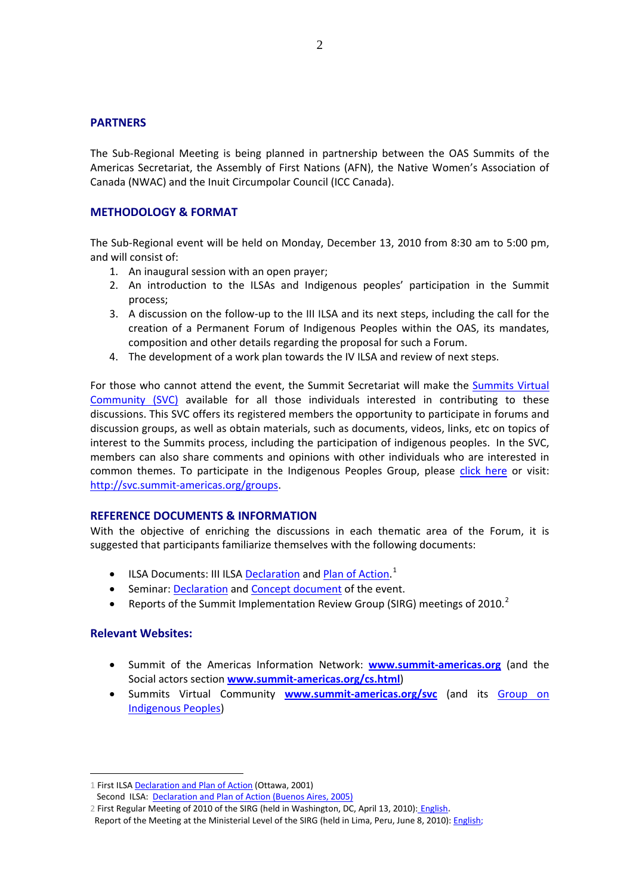## **PARTNERS**

The Sub‐Regional Meeting is being planned in partnership between the OAS Summits of the Americas Secretariat, the Assembly of First Nations (AFN), the Native Women's Association of Canada (NWAC) and the Inuit Circumpolar Council (ICC Canada).

## **METHODOLOGY & FORMAT**

The Sub‐Regional event will be held on Monday, December 13, 2010 from 8:30 am to 5:00 pm, and will consist of:

- 1. An inaugural session with an open prayer;
- 2. An introduction to the ILSAs and Indigenous peoples' participation in the Summit process;
- 3. A discussion on the follow‐up to the III ILSA and its next steps, including the call for the creation of a Permanent Forum of Indigenous Peoples within the OAS, its mandates, composition and other details regarding the proposal for such a Forum.
- 4. The development of a work plan towards the IV ILSA and review of next steps.

For those who cannot attend the event, the Summit Secretariat will make the [Summits](http://svc.summit-americas.org/) Virtual [Community](http://svc.summit-americas.org/) (SVC) available for all those individuals interested in contributing to these discussions. This SVC offers its registered members the opportunity to participate in forums and discussion groups, as well as obtain materials, such as documents, videos, links, etc on topics of interest to the Summits process, including the participation of indigenous peoples. In the SVC, members can also share comments and opinions with other individuals who are interested in common themes. To participate in the Indigenous Peoples Group, please click [here](http://svc.summit-americas.org/groups/indigenous-peoples-group) or visit: http://svc.summit‐[americas.org/groups.](http://svc.summit-americas.org/groups)

## **REFERENCE DOCUMENTS & INFORMATION**

With the objective of enriching the discussions in each thematic area of the Forum, it is suggested that participants familiarize themselves with the following documents:

- ILSA Documents: III ILSA **[Declaration](http://www.summit-americas.org/V_Summit/CS/ilsa_dec_en.pdf)** and Plan of [Action](http://www.summit-americas.org/V_Summit/CS/ilsa_poa_en.pdf).<sup>[1](#page-1-0)</sup>
- Seminar: [Declaration](http://www.summit-americas.org/cs/meetings/062210/decl_en.pdf) and Concept [document](http://www.summit-americas.org/cs/meetings/062210/concept_doc_en.pdf) of the event.
- **•** Reports of the Summit Implementation Review Group (SIRG) meetings of [2](#page-1-1)010.<sup>2</sup>

## **Relevant Websites:**

 $\overline{a}$ 

- Summit of the Americas Information Network: **[www.summit](http://www.summit-americas.org/)‐americas.org** (and the Social actors section **www.summit‐[americas.org/cs.html](http://www.summit-americas.org/cs.html)**)
- Summits Virtual Community **www.summit‐[americas.org/svc](http://www.summit-americas.org/svc)** (and its [Group](http://svc.summit-americas.org/groups/indigenous-peoples-group) on [Indigenous](http://svc.summit-americas.org/groups/indigenous-peoples-group) Peoples)

<span id="page-1-0"></span><sup>1</sup> First ILSA Declaration and Plan of Action (Ottawa, 2001)

Second ILSA: **Declaration and Plan of Action (Buenos Aires, 2005)** 

<span id="page-1-1"></span><sup>2</sup> First Regular Meeting of 2010 of the SIRG (held in Washington, DC, April 13, 2010): English**.** 

Report of the Meeting at the Ministerial Level of the SIRG (held in Lima, Peru, June 8, 2010): **English**;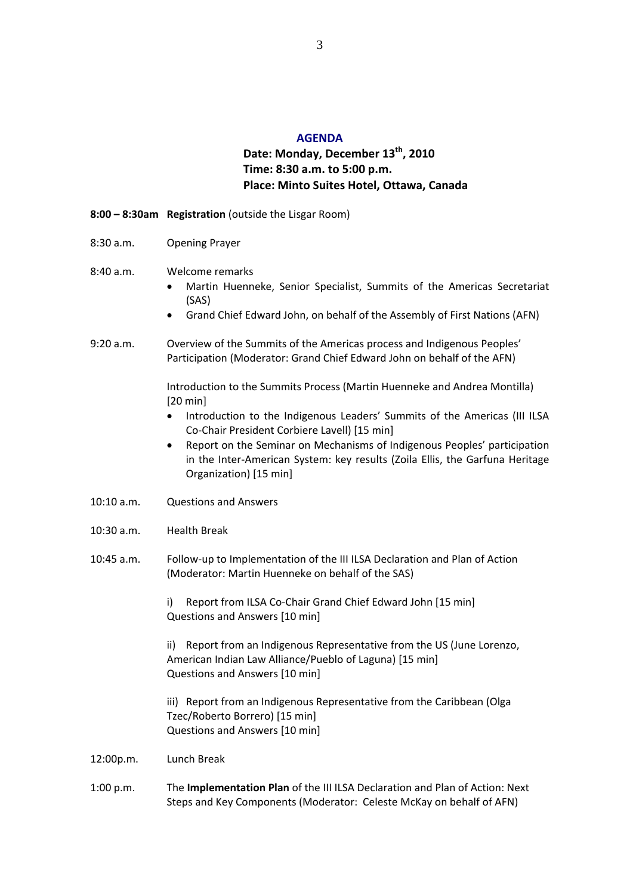#### **AGENDA**

# **Date: Monday, December 13th, 2010 Time: 8:30 a.m. to 5:00 p.m. Place: Minto Suites Hotel, Ottawa, Canada**

#### **8:00 – 8:30am Registration** (outside the Lisgar Room)

8:30 a.m. Opening Prayer

#### 8:40 a.m. Welcome remarks

- Martin Huenneke, Senior Specialist, Summits of the Americas Secretariat (SAS)
- Grand Chief Edward John, on behalf of the Assembly of First Nations (AFN)
- 9:20 a.m. Overview of the Summits of the Americas process and Indigenous Peoples' Participation (Moderator: Grand Chief Edward John on behalf of the AFN)

Introduction to the Summits Process (Martin Huenneke and Andrea Montilla) [20 min]

- Introduction to the Indigenous Leaders' Summits of the Americas (III ILSA Co‐Chair President Corbiere Lavell) [15 min]
- Report on the Seminar on Mechanisms of Indigenous Peoples' participation in the Inter‐American System: key results (Zoila Ellis, the Garfuna Heritage Organization) [15 min]
- 10:10 a.m. Questions and Answers
- 10:30 a.m. Health Break
- 10:45 a.m. Follow‐up to Implementation of the III ILSA Declaration and Plan of Action (Moderator: Martin Huenneke on behalf of the SAS)

i) Report from ILSA Co-Chair Grand Chief Edward John [15 min] Questions and Answers [10 min]

ii) Report from an Indigenous Representative from the US (June Lorenzo, American Indian Law Alliance/Pueblo of Laguna) [15 min] Questions and Answers [10 min]

iii) Report from an Indigenous Representative from the Caribbean (Olga Tzec/Roberto Borrero) [15 min] Questions and Answers [10 min]

- 12:00p.m. Lunch Break
- 1:00 p.m. The **Implementation Plan** of the III ILSA Declaration and Plan of Action: Next Steps and Key Components (Moderator: Celeste McKay on behalf of AFN)